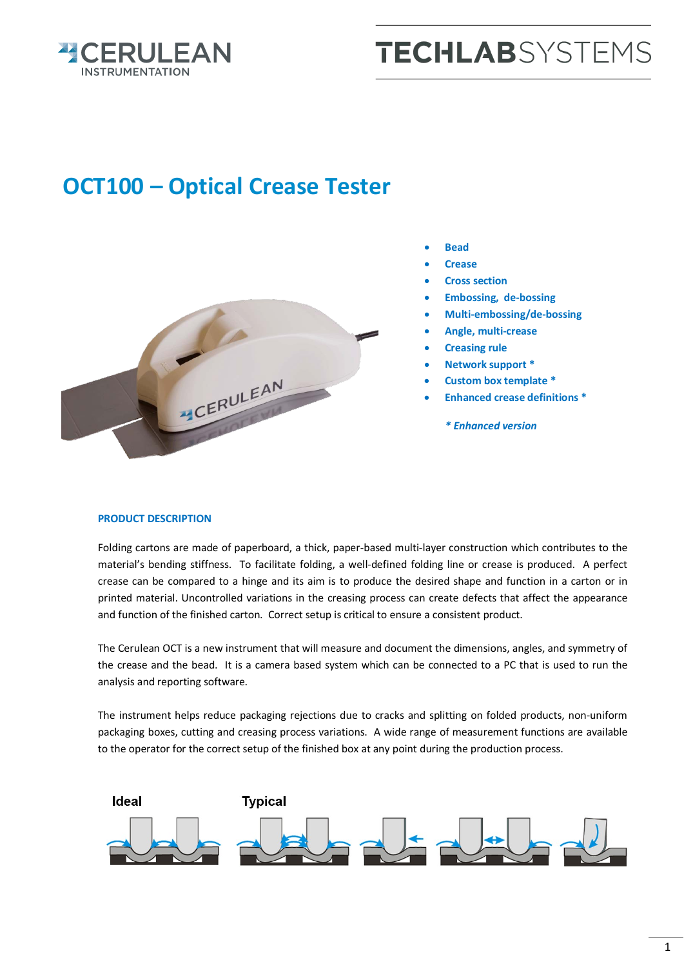

## **TECHLAB**SYSTEMS

## **OCT100 – Optical Crease Tester**



- **Bead**
- **Crease**
- **Cross section**
- **Embossing, de-bossing**
- **Multi-embossing/de-bossing**
- **Angle, multi-crease**
- **Creasing rule**
- **Network support \***
- **Custom box template \***
- **Enhanced crease definitions \***
	- *\* Enhanced version*

## **PRODUCT DESCRIPTION**

Folding cartons are made of paperboard, a thick, paper-based multi-layer construction which contributes to the material's bending stiffness. To facilitate folding, a well-defined folding line or crease is produced. A perfect crease can be compared to a hinge and its aim is to produce the desired shape and function in a carton or in printed material. Uncontrolled variations in the creasing process can create defects that affect the appearance and function of the finished carton. Correct setup is critical to ensure a consistent product.

The Cerulean OCT is a new instrument that will measure and document the dimensions, angles, and symmetry of the crease and the bead. It is a camera based system which can be connected to a PC that is used to run the analysis and reporting software.

The instrument helps reduce packaging rejections due to cracks and splitting on folded products, non-uniform packaging boxes, cutting and creasing process variations. A wide range of measurement functions are available to the operator for the correct setup of the finished box at any point during the production process.